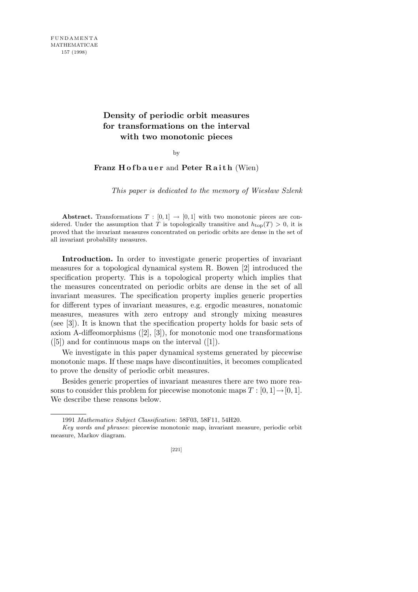## **Density of periodic orbit measures for transformations on the interval with two monotonic pieces**

## by

## **Franz H of b a u e r** and **Peter R a i t h** (Wien)

*This paper is dedicated to the memory of Wiesław Szlenk*

**Abstract.** Transformations  $T : [0,1] \rightarrow [0,1]$  with two monotonic pieces are considered. Under the assumption that *T* is topologically transitive and  $h_{\text{top}}(T) > 0$ , it is proved that the invariant measures concentrated on periodic orbits are dense in the set of all invariant probability measures.

Introduction. In order to investigate generic properties of invariant measures for a topological dynamical system R. Bowen [2] introduced the specification property. This is a topological property which implies that the measures concentrated on periodic orbits are dense in the set of all invariant measures. The specification property implies generic properties for different types of invariant measures, e.g. ergodic measures, nonatomic measures, measures with zero entropy and strongly mixing measures (see [3]). It is known that the specification property holds for basic sets of axiom A-diffeomorphisms  $([2], [3])$ , for monotonic mod one transformations  $([5])$  and for continuous maps on the interval  $([1])$ .

We investigate in this paper dynamical systems generated by piecewise monotonic maps. If these maps have discontinuities, it becomes complicated to prove the density of periodic orbit measures.

Besides generic properties of invariant measures there are two more reasons to consider this problem for piecewise monotonic maps  $T : [0, 1] \rightarrow [0, 1]$ . We describe these reasons below.

<sup>1991</sup> *Mathematics Subject Classification*: 58F03, 58F11, 54H20.

*Key words and phrases*: piecewise monotonic map, invariant measure, periodic orbit measure, Markov diagram.

<sup>[221]</sup>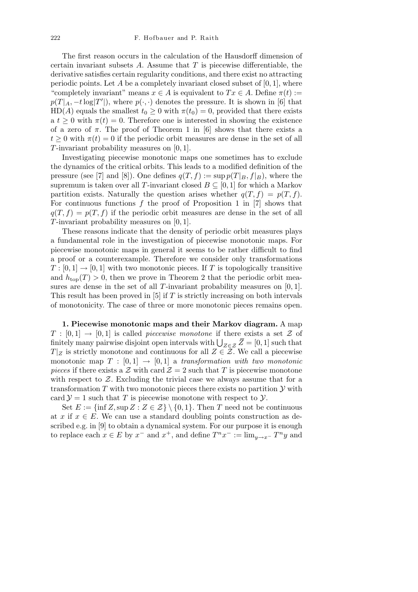The first reason occurs in the calculation of the Hausdorff dimension of certain invariant subsets *A*. Assume that *T* is piecewise differentiable, the derivative satisfies certain regularity conditions, and there exist no attracting periodic points. Let  $A$  be a completely invariant closed subset of  $[0, 1]$ , where "completely invariant" means  $x \in A$  is equivalent to  $Tx \in A$ . Define  $\pi(t) :=$  $p(T|_A, -t \log |T'|)$ , where  $p(\cdot, \cdot)$  denotes the pressure. It is shown in [6] that HD(*A*) equals the smallest  $t_0 \geq 0$  with  $\pi(t_0) = 0$ , provided that there exists a  $t \geq 0$  with  $\pi(t) = 0$ . Therefore one is interested in showing the existence of a zero of  $\pi$ . The proof of Theorem 1 in [6] shows that there exists a  $t \geq 0$  with  $\pi(t) = 0$  if the periodic orbit measures are dense in the set of all *T*-invariant probability measures on [0*,* 1].

Investigating piecewise monotonic maps one sometimes has to exclude the dynamics of the critical orbits. This leads to a modified definition of the pressure (see [7] and [8]). One defines  $q(T, f) := \sup p(T|_B, f|_B)$ , where the supremum is taken over all *T*-invariant closed  $B \subseteq [0,1]$  for which a Markov partition exists. Naturally the question arises whether  $q(T, f) = p(T, f)$ . For continuous functions f the proof of Proposition 1 in [7] shows that  $q(T, f) = p(T, f)$  if the periodic orbit measures are dense in the set of all *T*-invariant probability measures on [0*,* 1].

These reasons indicate that the density of periodic orbit measures plays a fundamental role in the investigation of piecewise monotonic maps. For piecewise monotonic maps in general it seems to be rather difficult to find a proof or a counterexample. Therefore we consider only transformations  $T: [0,1] \to [0,1]$  with two monotonic pieces. If *T* is topologically transitive and  $h_{\text{top}}(T) > 0$ , then we prove in Theorem 2 that the periodic orbit measures are dense in the set of all *T*-invariant probability measures on [0*,* 1]. This result has been proved in [5] if *T* is strictly increasing on both intervals of monotonicity. The case of three or more monotonic pieces remains open.

**1. Piecewise monotonic maps and their Markov diagram.** A map  $T : [0,1] \rightarrow [0,1]$  is called *piecewise monotone* if there exists a set  $\mathcal Z$  of *I* :  $[0,1]$  →  $[0,1]$  is called *piecewise monotone* if there exists a set *Z* of finitely many pairwise disjoint open intervals with  $\bigcup_{Z \in \mathcal{Z}} \overline{Z} = [0,1]$  such that  $T|_Z$  is strictly monotone and continuous for all  $Z \in \mathcal{Z}$ . We call a piecewise monotonic map  $T : [0,1] \rightarrow [0,1]$  a *transformation with two monotonic pieces* if there exists a  $\mathcal Z$  with card  $\mathcal Z = 2$  such that T is piecewise monotone with respect to  $Z$ . Excluding the trivial case we always assume that for a transformation *T* with two monotonic pieces there exists no partition *Y* with card  $\mathcal{Y} = 1$  such that *T* is piecewise monotone with respect to *Y*.

Set  $E := \{\inf Z, \sup Z : Z \in \mathcal{Z}\} \setminus \{0,1\}.$  Then *T* need not be continuous at *x* if  $x \in E$ . We can use a standard doubling points construction as described e.g. in [9] to obtain a dynamical system. For our purpose it is enough to replace each  $x \in E$  by  $x^-$  and  $x^+$ , and define  $T^n x^- := \lim_{y \to x^-} T^n y$  and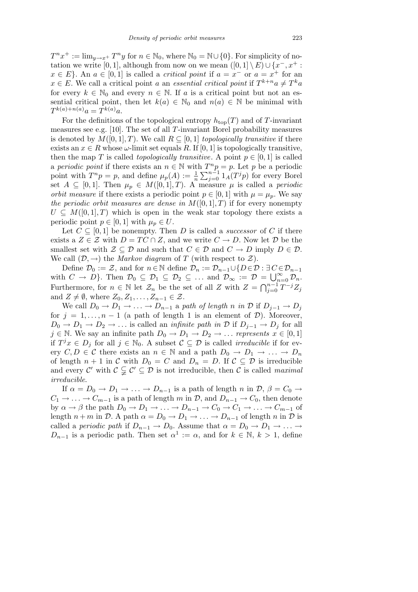$T^n x^+ := \lim_{y \to x^+} T^n y$  for  $n \in \mathbb{N}_0$ , where  $\mathbb{N}_0 = \mathbb{N} \cup \{0\}$ . For simplicity of notation we write [0, 1], although from now on we mean  $([0,1] \setminus E) \cup \{x^-, x^+ :$  $x \in E$ . An  $a \in [0,1]$  is called a *critical point* if  $a = x^-$  or  $a = x^+$  for an  $x \in E$ . We call a critical point *a* an *essential critical point* if  $T^{k+n}a \neq T^k a$ for every  $k \in \mathbb{N}_0$  and every  $n \in \mathbb{N}$ . If a is a critical point but not an essential critical point, then let  $k(a) \in \mathbb{N}_0$  and  $n(a) \in \mathbb{N}$  be minimal with  $T^{k(a)+n(a)}a = T^{k(a)}a.$ 

For the definitions of the topological entropy  $h_{\text{top}}(T)$  and of *T*-invariant measures see e.g. [10]. The set of all *T*-invariant Borel probability measures is denoted by  $M([0,1],T)$ . We call  $R \subseteq [0,1]$  *topologically transitive* if there exists an  $x \in R$  whose  $\omega$ -limit set equals R. If [0, 1] is topologically transitive, then the map *T* is called *topologically transitive*. A point  $p \in [0, 1]$  is called a *periodic point* if there exists an  $n \in \mathbb{N}$  with  $T^n p = p$ . Let *p* be a periodic point with  $T^n p = p$ , and define  $\mu_p(A) := \frac{1}{n}$ P*n−*<sup>1</sup>  $\sum_{j=0}^{n-1} 1_A(T^j p)$  for every Borel set  $A \subseteq [0,1]$ . Then  $\mu_p \in M([0,1],T)$ . A measure  $\mu$  is called a *periodic orbit measure* if there exists a periodic point  $p \in [0, 1]$  with  $\mu = \mu_p$ . We say *the periodic orbit measures are dense in*  $M([0,1],T)$  if for every nonempty  $U \subseteq M([0,1],T)$  which is open in the weak star topology there exists a periodic point  $p \in [0, 1]$  with  $\mu_p \in U$ .

Let  $C \subseteq [0,1]$  be nonempty. Then *D* is called a *successor* of *C* if there exists a  $Z \in \mathcal{Z}$  with  $D = TC \cap Z$ , and we write  $C \to D$ . Now let  $D$  be the smallest set with  $\mathcal{Z} \subseteq \mathcal{D}$  and such that  $C \in \mathcal{D}$  and  $C \to D$  imply  $D \in \mathcal{D}$ . We call  $(D, \rightarrow)$  the *Markov diagram* of *T* (with respect to  $\mathcal{Z}$ ).

Define  $\mathcal{D}_0 := \mathcal{Z}$ , and for  $n \in \mathbb{N}$  define  $\mathcal{D}_n := \mathcal{D}_{n-1} \cup \{D \in \mathcal{D} : \exists C \in \mathcal{D}_{n-1} \}$ with  $C \to D$ . Then  $\mathcal{D}_0 \subseteq \mathcal{D}_1 \subseteq \mathcal{D}_2 \subseteq \ldots$  and  $\mathcal{D}_{\infty} := \mathcal{D} = \bigcup_{n=0}^{\infty} \mathcal{D}_n$ . Furthermore, for  $n \in \mathbb{N}$  let  $\mathcal{Z}_n$  be the set of all *Z* with  $Z = \bigcap_{i=0}^{n-1}$ <br>Furthermore, for  $n \in \mathbb{N}$  let  $\mathcal{Z}_n$  be the set of all *Z* with  $Z = \bigcap_{i=0}^{n-1}$ *<sup>j</sup>*=0 *T <sup>−</sup><sup>j</sup>Z<sup>j</sup>* and  $Z \neq \emptyset$ , where  $Z_0, Z_1, \ldots, Z_{n-1} \in \mathcal{Z}$ .

We call  $D_0 \to D_1 \to \ldots \to D_{n-1}$  a path of length *n* in  $D$  if  $D_{i-1} \to D_i$ for  $j = 1, \ldots, n-1$  (a path of length 1 is an element of  $D$ ). Moreover,  $D_0 \rightarrow D_1 \rightarrow D_2 \rightarrow \ldots$  is called an *infinite path in*  $D$  if  $D_{i-1} \rightarrow D_i$  for all  $j \in \mathbb{N}$ . We say an infinite path  $D_0 \to D_1 \to D_2 \to \ldots$  *represents*  $x \in [0,1]$ if  $T^jx$  ∈  $D_j$  for all  $j \in \mathbb{N}_0$ . A subset  $\mathcal{C} \subseteq \mathcal{D}$  is called *irreducible* if for every  $C, D \in \mathcal{C}$  there exists an  $n \in \mathbb{N}$  and a path  $D_0 \to D_1 \to \ldots \to D_n$ of length  $n + 1$  in *C* with  $D_0 = C$  and  $D_n = D$ . If  $C \subseteq D$  is irreducible and every  $\mathcal{C}'$  with  $\mathcal{C} \subsetneq \mathcal{C}' \subseteq \mathcal{D}$  is not irreducible, then  $\mathcal{C}$  is called *maximal irreducible*.

If  $\alpha = D_0 \rightarrow D_1 \rightarrow \ldots \rightarrow D_{n-1}$  is a path of length *n* in  $\mathcal{D}, \beta = C_0 \rightarrow$  $C_1 \rightarrow \ldots \rightarrow C_{m-1}$  is a path of length *m* in *D*, and  $D_{n-1} \rightarrow C_0$ , then denote by  $\alpha \to \beta$  the path  $D_0 \to D_1 \to \ldots \to D_{n-1} \to C_0 \to C_1 \to \ldots \to C_{m-1}$  of length  $n + m$  in  $\mathcal{D}$ . A path  $\alpha = D_0 \rightarrow D_1 \rightarrow \ldots \rightarrow D_{n-1}$  of length  $n$  in  $\mathcal{D}$  is called a *periodic path* if  $D_{n-1} \to D_0$ . Assume that  $\alpha = D_0 \to D_1 \to \ldots \to$ *D*<sub>*n*−1</sub> is a periodic path. Then set  $\alpha^1 := \alpha$ , and for  $k \in \mathbb{N}$ ,  $k > 1$ , define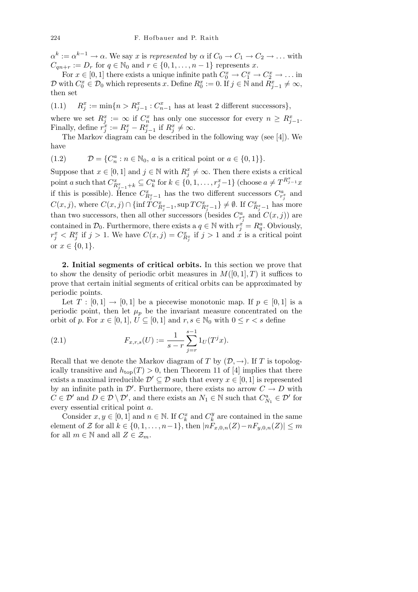$\alpha^k := \alpha^{k-1} \to \alpha$ . We say *x* is *represented* by  $\alpha$  if  $C_0 \to C_1 \to C_2 \to \ldots$  with  $C_{qn+r} := D_r$  for  $q \in \mathbb{N}_0$  and  $r \in \{0, 1, \ldots, n-1\}$  represents *x*.

For  $x \in [0, 1]$  there exists a unique infinite path  $C_0^x \to C_1^x \to C_2^x \to \ldots$  in  $\mathcal{D}$  with  $C_0^x \in \mathcal{D}_0$  which represents *x*. Define  $R_0^x := 0$ . If  $j \in \mathbb{N}$  and  $R_{j-1}^x \neq \infty$ , then set

 $(1.1)$  $x_j^x := \min\{n > R_{j-1}^x : C_{n-1}^x$  has at least 2 different successors}

where we set  $R_j^x := \infty$  if  $C_n^x$  has only one successor for every  $n \geq R_{j-1}^x$ . Finally, define  $r_j^x := R_j^x - R_{j-1}^x$  if  $R_j^x \neq \infty$ .

The Markov diagram can be described in the following way (see [4]). We have

(1.2)  $\mathcal{D} = \{C_n^a : n \in \mathbb{N}_0, a \text{ is a critical point or } a \in \{0, 1\}\}.$ 

Suppose that  $x \in [0, 1]$  and  $j \in \mathbb{N}$  with  $R_j^x \neq \infty$ . Then there exists a critical point a such that  $C_{R_{j-1}^x+k}^x \subseteq C_k^a$  for  $k \in \{0,1,\ldots,r_j^x-1\}$  (choose  $a \neq T^{R_{j-1}^x}x$ if this is possible). Hence  $C_{R_j^x-1}^x$  has the two different successors  $C_{r_j^x}^a$  and  $C(x, j)$ , where  $C(x, j) \cap \{\inf \widetilde{TC}_{R_j^x-1}^x, \sup TC_{R_j^x-1}^x\} \neq \emptyset$ . If  $C_{R_j^x-1}^x$  has more than two successors, then all other successors (besides  $C_{r_i^x}^a$  and  $C(x, j)$ ) are contained in  $\mathcal{D}_0$ . Furthermore, there exists a  $q \in \mathbb{N}$  with  $r_j^x = R_q^a$ . Obviously,  $r_j^x < R_j^x$  if  $j > 1$ . We have  $C(x, j) = C_{R_j^x}^x$  if  $j > 1$  and  $\tilde{x}$  is a critical point or  $x \in \{0, 1\}$ .

**2. Initial segments of critical orbits.** In this section we prove that to show the density of periodic orbit measures in  $M([0,1],T)$  it suffices to prove that certain initial segments of critical orbits can be approximated by periodic points.

Let  $T : [0,1] \rightarrow [0,1]$  be a piecewise monotonic map. If  $p \in [0,1]$  is a periodic point, then let  $\mu_p$  be the invariant measure concentrated on the orbit of *p*. For  $x \in [0, 1]$ ,  $U \subseteq [0, 1]$  and  $r, s \in \mathbb{N}_0$  with  $0 \leq r < s$  define

(2.1) 
$$
F_{x,r,s}(U) := \frac{1}{s-r} \sum_{j=r}^{s-1} 1_U(T^j x).
$$

Recall that we denote the Markov diagram of *T* by  $(\mathcal{D}, \rightarrow)$ . If *T* is topologically transitive and  $h_{\text{top}}(T) > 0$ , then Theorem 11 of [4] implies that there exists a maximal irreducible  $\mathcal{D}' \subseteq \mathcal{D}$  such that every  $x \in [0,1]$  is represented by an infinite path in  $\mathcal{D}'$ . Furthermore, there exists no arrow  $C \rightarrow D$  with  $C \in \mathcal{D}'$  and  $D \in \mathcal{D} \setminus \mathcal{D}'$ , and there exists an  $N_1 \in \mathbb{N}$  such that  $C_{N_1}^a \in \mathcal{D}'$  for every essential critical point *a*.

Consider  $x, y \in [0, 1]$  and  $n \in \mathbb{N}$ . If  $C_k^x$  and  $C_k^y$  $k \nvert k$  are contained in the same element of *Z* for all *k* ∈ {0,1, . . . , *n* −1}, then  $|nF_{x,0,n}(Z) - nF_{y,0,n}(Z)| \leq m$ for all  $m \in \mathbb{N}$  and all  $Z \in \mathcal{Z}_m$ .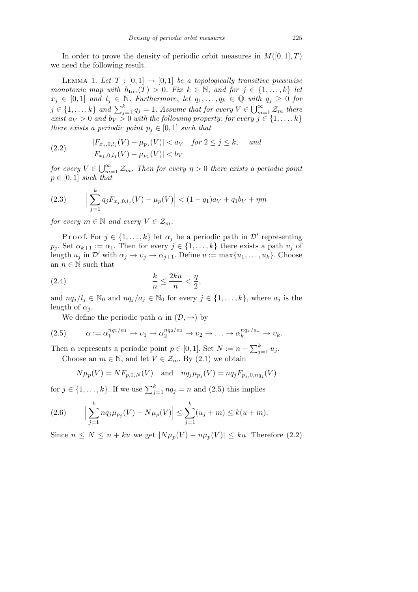In order to prove the density of periodic orbit measures in  $M([0,1],T)$ we need the following result.

LEMMA 1. Let  $T : [0,1] \rightarrow [0,1]$  be a topologically transitive piecewise *monotonic map with*  $h_{top}(T) > 0$ *. Fix*  $k \in \mathbb{N}$ *, and for*  $j \in \{1, ..., k\}$  *let*  $x_j \in [0,1]$  *and*  $l_j \in \mathbb{N}$ *. Furthermore, let*  $q_1, \ldots, q_k \in \mathbb{Q}$  *with*  $q_j \geq 0$  *for*  $j \in \{1, \ldots, k\}$  and  $\sum_{j=1}^{k} q_j = 1$ *. Assume that for every*  $V \in$ *∞…*<br>פר∟  $\sum_{m=1}^{\infty} \mathcal{Z}_m$  *there exist*  $a_V > 0$  *and*  $b_V > 0$  *with the following property: for every*  $j \in \{1, \ldots, k\}$ *there exists a periodic point*  $p_j \in [0,1]$  *such that* 

(2.2) 
$$
|F_{x_j,0,l_j}(V) - \mu_{p_j}(V)| < a_V \quad \text{for } 2 \le j \le k, \quad \text{and}
$$

$$
|F_{x_1,0,l_1}(V) - \mu_{p_1}(V)| < b_V
$$

*for every*  $V \in \bigcup_{m}^{\infty}$  $\sum_{m=1}^{\infty} \mathcal{Z}_m$ *. Then for every*  $\eta > 0$  *there exists a periodic point*  $p \in [0, 1]$  *such that* 

(2.3) 
$$
\Big|\sum_{j=1}^k q_j F_{x_j,0,l_j}(V) - \mu_p(V)\Big| < (1-q_1)a_V + q_1b_V + \eta m
$$

*for every*  $m \in \mathbb{N}$  *and every*  $V \in \mathcal{Z}_m$ *.* 

P r o o f. For  $j \in \{1, ..., k\}$  let  $\alpha_j$  be a periodic path in  $\mathcal{D}'$  representing  $p_j$ . Set  $\alpha_{k+1} := \alpha_1$ . Then for every  $j \in \{1, \ldots, k\}$  there exists a path  $v_j$  of length  $u_j$  in  $\mathcal{D}'$  with  $\alpha_j \to v_j \to \alpha_{j+1}$ . Define  $u := \max\{u_1, \ldots, u_k\}$ . Choose an  $n \in \mathbb{N}$  such that

$$
\frac{k}{n} \le \frac{2ku}{n} < \frac{\eta}{2},
$$

and  $nq_j/l_j \in \mathbb{N}_0$  and  $nq_j/a_j \in \mathbb{N}_0$  for every  $j \in \{1, \ldots, k\}$ , where  $a_j$  is the length of  $\alpha_j$ .

We define the periodic path  $\alpha$  in  $(\mathcal{D}, \rightarrow)$  by

$$
(2.5) \qquad \alpha := \alpha_1^{nq_1/a_1} \to v_1 \to \alpha_2^{nq_2/a_2} \to v_2 \to \dots \to \alpha_k^{nq_k/a_k} \to v_k.
$$

Then  $\alpha$  represents a periodic point  $p \in [0, 1]$ . Set  $N := n + \sum_{i=1}^{k} p_i$  $_{j=1}^{k} u_{j}$ . Choose an  $m \in \mathbb{N}$ , and let  $V \in \mathcal{Z}_m$ . By (2.1) we obtain

$$
N\mu_p(V) = NF_{p,0,N}(V)
$$
 and  $nq_j\mu_{p_j}(V) = nq_jF_{p_j,0,nq_j}(V)$ 

for  $j \in \{1, \ldots, k\}$ . If we use  $\sum_{j=1}^{k} nq_j = n$  and  $(2.5)$  this implies

(2.6) 
$$
\Big|\sum_{j=1}^k nq_j\mu_{p_j}(V) - N\mu_p(V)\Big| \leq \sum_{j=1}^k (u_j + m) \leq k(u+m).
$$

Since  $n \leq N \leq n + ku$  we get  $|N\mu_p(V) - n\mu_p(V)| \leq ku$ . Therefore (2.2)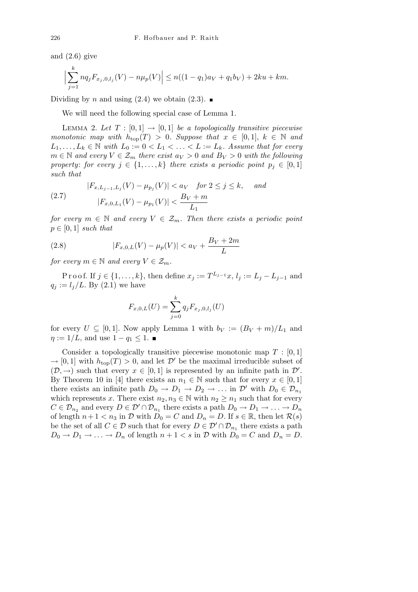and  $(2.6)$  give

$$
\Big|\sum_{j=1}^k nq_j F_{x_j,0,l_j}(V) - n\mu_p(V)\Big| \le n((1-q_1)a_V + q_1b_V) + 2ku + km.
$$

Dividing by *n* and using  $(2.4)$  we obtain  $(2.3)$ .

We will need the following special case of Lemma 1.

LEMMA 2. Let  $T : [0,1] \rightarrow [0,1]$  be a topologically transitive piecewise *monotonic map with*  $h_{\text{top}}(T) > 0$ *. Suppose that*  $x \in [0,1], k \in \mathbb{N}$  and  $L_1, \ldots, L_k \in \mathbb{N}$  with  $L_0 := 0 < L_1 < \ldots < L := L_k$ *. Assume that for every m* ∈ *N and every*  $V \text{ } \in \mathcal{Z}_m$  *there exist*  $a_V > 0$  *and*  $B_V > 0$  *with the following property: for every*  $j \in \{1, \ldots, k\}$  *there exists a periodic point*  $p_j \in [0, 1]$ *such that*

(2.7) 
$$
|F_{x,L_{j-1},L_j}(V) - \mu_{p_j}(V)| < a_V \quad \text{for } 2 \le j \le k, \quad \text{and}
$$

$$
|F_{x,0,L_1}(V) - \mu_{p_1}(V)| < \frac{B_V + m}{L_1}
$$

*for every*  $m \in \mathbb{N}$  *and every*  $V \in \mathcal{Z}_m$ *. Then there exists a periodic point*  $p \in [0, 1]$  *such that* 

(2.8) 
$$
|F_{x,0,L}(V) - \mu_p(V)| < a_V + \frac{B_V + 2m}{L}
$$

*for every*  $m \in \mathbb{N}$  *and every*  $V \in \mathcal{Z}_m$ *.* 

Proof. If *j* ∈ {1, ..., *k*}, then define  $x_j := T^{L_{j-1}}x$ ,  $l_j := L_j - L_{j-1}$  and  $q_j := l_j/L$ . By (2.1) we have

$$
F_{x,0,L}(U) = \sum_{j=0}^{k} q_j F_{x_j,0,l_j}(U)
$$

for every  $U \subseteq [0,1]$ . Now apply Lemma 1 with  $b_V := (B_V + m)/L_1$  and *η* :=  $1/L$ , and use  $1 - q_1 \leq 1$ . ■

Consider a topologically transitive piecewise monotonic map *T* : [0*,* 1]  $\rightarrow$  [0, 1] with  $h_{\text{top}}(T) > 0$ , and let  $\mathcal{D}'$  be the maximal irreducible subset of  $(\mathcal{D}, \rightarrow)$  such that every  $x \in [0, 1]$  is represented by an infinite path in  $\mathcal{D}'$ . By Theorem 10 in [4] there exists an  $n_1 \in \mathbb{N}$  such that for every  $x \in [0,1]$ there exists an infinite path  $D_0 \rightarrow D_1 \rightarrow D_2 \rightarrow \ldots$  in  $\mathcal{D}'$  with  $D_0 \in \mathcal{D}_{n_1}$ which represents *x*. There exist  $n_2, n_3 \in \mathbb{N}$  with  $n_2 \geq n_1$  such that for every  $C \in \mathcal{D}_{n_2}$  and every  $D \in \mathcal{D}' \cap \mathcal{D}_{n_1}$  there exists a path  $D_0 \to D_1 \to \ldots \to D_n$ of length  $n + 1 < n_3$  in  $\mathcal{D}$  with  $D_0 = C$  and  $D_n = D$ . If  $s \in \mathbb{R}$ , then let  $\mathcal{R}(s)$ be the set of all  $C \in \mathcal{D}$  such that for every  $D \in \mathcal{D}' \cap \mathcal{D}_{n_1}$  there exists a path  $D_0 \rightarrow D_1 \rightarrow \ldots \rightarrow D_n$  of length  $n + 1 < s$  in *D* with  $D_0 = C$  and  $D_n = D$ .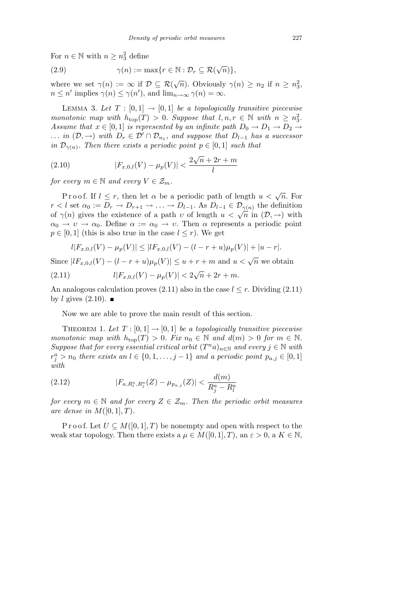For  $n \in \mathbb{N}$  with  $n \geq n_3^2$  define

(2.9) 
$$
\gamma(n) := \max\{r \in \mathbb{N} : \mathcal{D}_r \subseteq \mathcal{R}(\sqrt{n})\},\
$$

where we set  $\gamma(n) := \infty$  if  $\mathcal{D} \subseteq \mathcal{R}(\sqrt{n})$ . Obviously  $\gamma(n) \geq n_2$  if  $n \geq n_3^2$ ,  $n \leq n'$  implies  $\gamma(n) \leq \gamma(n')$ , and  $\lim_{n \to \infty} \gamma(n) = \infty$ .

LEMMA 3. Let  $T : [0,1] \rightarrow [0,1]$  be a topologically transitive piecewise *monotonic map with*  $h_{top}(T) > 0$ *. Suppose that*  $l, n, r \in \mathbb{N}$  with  $n \geq n_3^2$ *. Assume that*  $x \in [0, 1]$  *is represented by an infinite path*  $D_0 \rightarrow D_1 \rightarrow D_2 \rightarrow$ *... in*  $(D, \rightarrow)$  *with*  $D_r \in \mathcal{D}' \cap \mathcal{D}_{n_1}$ , *and suppose that*  $D_{l-1}$  *has a successor in*  $\mathcal{D}_{\gamma(n)}$ . Then there exists a periodic point  $p \in [0,1]$  *such that* 

(2.10) 
$$
|F_{x,0,l}(V) - \mu_p(V)| < \frac{2\sqrt{n} + 2r + m}{l}
$$

*for every*  $m \in \mathbb{N}$  *and every*  $V \in \mathcal{Z}_m$ *.* 

P r o o f. If  $l \leq r$ , then let  $\alpha$  be a periodic path of length  $u < \sqrt{n}$ . For  $r < l$  set  $\alpha_0 := D_r \to D_{r+1} \to \ldots \to D_{l-1}$ . As  $D_{l-1} \in \mathcal{D}_{\gamma(n)}$  the definition  $\alpha \in \mathcal{V}_r$  is set  $\alpha_0 := \mathcal{V}_r \to \mathcal{V}_{r+1} \to \ldots \to \mathcal{V}_{l-1}$ . As  $\mathcal{V}_{l-1} \in \mathcal{V}_{\gamma(n)}$  the definition of  $\gamma(n)$  gives the existence of a path *v* of length  $u < \sqrt{n}$  in  $(\mathcal{D}, \to)$  with  $\alpha_0 \rightarrow v \rightarrow \alpha_0$ . Define  $\alpha := \alpha_0 \rightarrow v$ . Then  $\alpha$  represents a periodic point  $p \in [0,1]$  (this is also true in the case  $l \leq r$ ). We get

$$
l|F_{x,0,l}(V) - \mu_p(V)| \leq |lF_{x,0,l}(V) - (l-r+u)\mu_p(V)| + |u-r|.
$$

Since  $|lF_{x,0,l}(V) - (l - r + u)\mu_p(V)| \le u + r + m$  and  $u < \sqrt{n}$  we obtain

(2.11) 
$$
l|F_{x,0,l}(V) - \mu_p(V)| < 2\sqrt{n} + 2r + m.
$$

An analogous calculation proves  $(2.11)$  also in the case  $l \leq r$ . Dividing  $(2.11)$ by *l* gives  $(2.10)$ .

Now we are able to prove the main result of this section.

THEOREM 1. Let  $T : [0,1] \rightarrow [0,1]$  be a topologically transitive piecewise *monotonic map with*  $h_{\text{top}}(T) > 0$ *. Fix*  $n_0 \in \mathbb{N}$  and  $d(m) > 0$  for  $m \in \mathbb{N}$ . *Suppose that for every essential critical orbit*  $(T^n a)_{n \in \mathbb{N}}$  *and every*  $j \in \mathbb{N}$  *with*  $r_j^a > n_0$  *there exists an*  $l \in \{0, 1, \ldots, j-1\}$  *and a periodic point*  $p_{a,j} \in [0, 1]$ *with*

(2.12) 
$$
|F_{a,R_l^a,R_j^a}(Z) - \mu_{p_{a,j}}(Z)| < \frac{d(m)}{R_j^a - R_l^a}
$$

*for every*  $m \in \mathbb{N}$  *and for every*  $Z \in \mathcal{Z}_m$ *. Then the periodic orbit measures are dense in*  $M([0,1],T)$ *.* 

P r o o f. Let  $U \subseteq M([0,1], T)$  be nonempty and open with respect to the weak star topology. Then there exists a  $\mu \in M([0,1], T)$ , an  $\varepsilon > 0$ , a  $K \in \mathbb{N}$ ,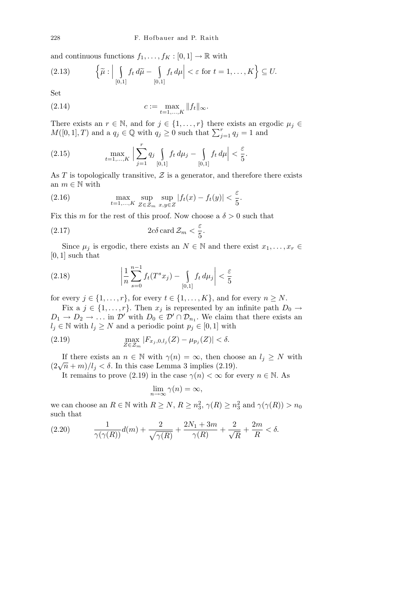and continuous functions  $f_1, \ldots, f_K : [0,1] \to \mathbb{R}$  with

$$
(2.13) \qquad \left\{\widetilde{\mu}: \Big|\bigcup_{[0,1]} f_t d\widetilde{\mu} - \bigcup_{[0,1]} f_t d\mu\Big| < \varepsilon \text{ for } t = 1,\ldots,K\right\} \subseteq U.
$$

Set

(2.14) 
$$
c := \max_{t=1,...,K} ||f_t||_{\infty}.
$$

There exists an  $r \in \mathbb{N}$ , and for  $j \in \{1, \ldots, r\}$  there exists an ergodic  $\mu_j \in$ *M*([0,1], *T*) and a  $q_j \in \mathbb{Q}$  with  $q_j \geq 0$  such that  $\sum_{j=1}^r q_j = 1$  and

(2.15) 
$$
\max_{t=1,\dots,K} \Big| \sum_{j=1}^r q_j \int_{[0,1]} f_t d\mu_j - \int_{[0,1]} f_t d\mu \Big| < \frac{\varepsilon}{5}.
$$

As *T* is topologically transitive,  $Z$  is a generator, and therefore there exists an  $m \in \mathbb{N}$  with

(2.16) 
$$
\max_{t=1,\dots,K} \sup_{Z \in \mathcal{Z}_m} \sup_{x,y \in Z} |f_t(x) - f_t(y)| < \frac{\varepsilon}{5}.
$$

Fix this *m* for the rest of this proof. Now choose a  $\delta > 0$  such that

(2.17) 
$$
2c\delta \operatorname{card} \mathcal{Z}_m < \frac{\varepsilon}{5}.
$$

Since  $\mu_j$  is ergodic, there exists an  $N \in \mathbb{N}$  and there exist  $x_1, \ldots, x_r \in$ [0*,* 1] such that

(2.18) 
$$
\left| \frac{1}{n} \sum_{s=0}^{n-1} f_t(T^s x_j) - \int_{[0,1]} f_t d\mu_j \right| < \frac{\varepsilon}{5}
$$

for every  $j \in \{1, \ldots, r\}$ , for every  $t \in \{1, \ldots, K\}$ , and for every  $n \geq N$ .

Fix a  $j \in \{1, \ldots, r\}$ . Then  $x_j$  is represented by an infinite path  $D_0 \rightarrow$  $D_1 \rightarrow D_2 \rightarrow \ldots$  in  $\mathcal{D}'$  with  $D_0 \in \mathcal{D}' \cap \mathcal{D}_{n_1}$ . We claim that there exists an *l*<sup>*j*</sup> ∈ N with *l*<sup>*j*</sup>  $≥ N$  and a periodic point  $p_j ∈ [0, 1]$  with

(2.19) 
$$
\max_{Z \in \mathcal{Z}_m} |F_{x_j, 0, l_j}(Z) - \mu_{p_j}(Z)| < \delta.
$$

If there exists an  $n \in \mathbb{N}$  with  $\gamma(n) = \infty$ , then choose an  $l_j \geq N$  with (2 $\sqrt{n} + m$ )/ $l_j < \delta$ . In this case Lemma 3 implies (2.19).

It remains to prove (2.19) in the case  $\gamma(n) < \infty$  for every  $n \in \mathbb{N}$ . As

$$
\lim_{n \to \infty} \gamma(n) = \infty,
$$

we can choose an  $R \in \mathbb{N}$  with  $R \geq N$ ,  $R \geq n_3^2$ ,  $\gamma(R) \geq n_3^2$  and  $\gamma(\gamma(R)) > n_0$ such that

(2.20) 
$$
\frac{1}{\gamma(\gamma(R))}d(m) + \frac{2}{\sqrt{\gamma(R)}} + \frac{2N_1 + 3m}{\gamma(R)} + \frac{2}{\sqrt{R}} + \frac{2m}{R} < \delta.
$$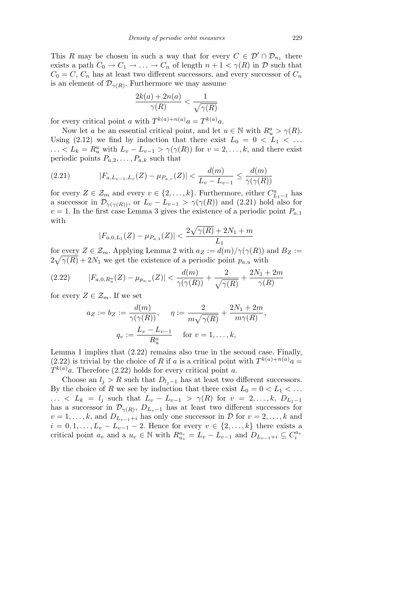This *R* may be chosen in such a way that for every  $C \in \mathcal{D}' \cap \mathcal{D}_{n_1}$  there exists a path  $C_0 \to C_1 \to \ldots \to C_n$  of length  $n + 1 < \gamma(R)$  in  $D$  such that  $C_0 = C$ ,  $C_n$  has at least two different successors, and every successor of  $C_n$ is an element of  $\mathcal{D}_{\gamma(R)}$ . Furthermore we may assume

$$
\frac{2k(a) + 2n(a)}{\gamma(R)} < \frac{1}{\sqrt{\gamma(R)}}
$$

for every critical point *a* with  $T^{k(a)+n(a)}a = T^{k(a)}a$ .

Now let *a* be an essential critical point, and let  $u \in \mathbb{N}$  with  $R_u^a > \gamma(R)$ . Using (2.12) we find by induction that there exist  $L_0 = 0 < L_1 < \ldots$  $\ldots < L_k = R_u^a$  with  $L_v - L_{v-1} > \gamma(\gamma(R))$  for  $v = 2, \ldots, k$ , and there exist periodic points  $P_{a,2}, \ldots, P_{a,k}$  such that

(2.21) 
$$
|F_{a,L_{v-1},L_v}(Z) - \mu_{P_{a,v}}(Z)| < \frac{d(m)}{L_v - L_{v-1}} \le \frac{d(m)}{\gamma(\gamma(R))}
$$

for every  $Z \in \mathcal{Z}_m$  and every  $v \in \{2, \ldots, k\}$ . Furthermore, either  $C_{L_1-1}^a$  has a successor in  $\mathcal{D}_{\gamma(\gamma(R))}$ , or  $L_v - L_{v-1} > \gamma(\gamma(R))$  and (2.21) hold also for  $v = 1$ . In the first case Lemma 3 gives the existence of a periodic point  $P_{a,1}$ with  $\mathbb{R}^2$ 

$$
|F_{a,0,L_1}(Z) - \mu_{P_{a,1}}(Z)| < \frac{2\sqrt{\gamma(R)} + 2N_1 + m}{L_1}
$$

for every  $Z \in \mathcal{Z}_m$ . Applying Lemma 2 with  $a_Z := d(m)/\gamma(\gamma(R))$  and  $B_Z :=$  $2\sqrt{\gamma(R)} + 2N_1$  we get the existence of a periodic point  $p_{a,u}$  with

$$
(2.22) \t|F_{a,0,R_u^a}(Z) - \mu_{p_{a,u}}(Z)| < \frac{d(m)}{\gamma(\gamma(R))} + \frac{2}{\sqrt{\gamma(R)}} + \frac{2N_1 + 2m}{\gamma(R)}
$$

for every  $Z \in \mathcal{Z}_m$ . If we set

$$
a_Z := b_Z := \frac{d(m)}{\gamma(\gamma(R))}, \quad \eta := \frac{2}{m\sqrt{\gamma(R)}} + \frac{2N_1 + 2m}{m\gamma(R)}
$$

$$
q_v := \frac{L_v - L_{v-1}}{R_u^a} \quad \text{for } v = 1, \dots, k,
$$

Lemma 1 implies that (2.22) remains also true in the second case. Finally,  $(2.22)$  is trivial by the choice of *R* if *a* is a critical point with  $T^{k(a)+n(a)}a$  $T^{k(a)}a$ . Therefore (2.22) holds for every critical point *a*.

Choose an  $l_j > R$  such that  $D_{l_j-1}$  has at least two different successors. By the choice of *R* we see by induction that there exist  $L_0 = 0 < L_1 < ...$  $L_k = l_j$  such that  $L_v - L_{v-1} > \gamma(R)$  for  $v = 2, \ldots, k, D_{L_1-1}$ has a successor in  $\mathcal{D}_{\gamma(R)}$ ,  $D_{L_v-1}$  has at least two different successors for  $v = 1, \ldots, k$ , and  $D_{L_{v-1}+i}$  has only one successor in  $\mathcal{D}$  for  $v = 2, \ldots, k$  and  $i = 0, 1, \ldots, L_v - L_{v-1} - 2$ . Hence for every  $v \in \{2, \ldots, k\}$  there exists a critical point  $a_v$  and a  $u_v \in \mathbb{N}$  with  $R_{u_v}^{a_v} = L_v - L_{v-1}$  and  $D_{L_{v-1}+i} \subseteq C_i^{a_v}$ 

*,*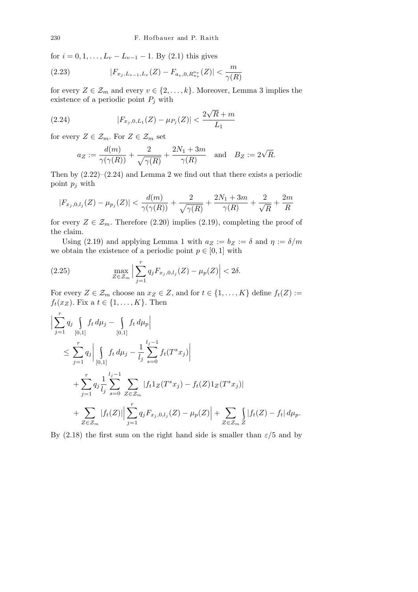for  $i = 0, 1, \ldots, L_v - L_{v-1} - 1$ . By (2.1) this gives

(2.23) 
$$
|F_{x_j, L_{v-1}, L_v}(Z) - F_{a_v, 0, R_{u_v}^{a_v}}(Z)| < \frac{m}{\gamma(R)}
$$

for every  $Z \in \mathcal{Z}_m$  and every  $v \in \{2, \ldots, k\}$ . Moreover, Lemma 3 implies the existence of a periodic point  $P_j$  with

(2.24) 
$$
|F_{x_j,0,L_1}(Z) - \mu_{P_j}(Z)| < \frac{2\sqrt{R} + m}{L_1}
$$

for every  $Z \in \mathcal{Z}_m$ . For  $Z \in \mathcal{Z}_m$  set

$$
a_Z := \frac{d(m)}{\gamma(\gamma(R))} + \frac{2}{\sqrt{\gamma(R)}} + \frac{2N_1 + 3m}{\gamma(R)} \quad \text{and} \quad B_Z := 2\sqrt{R}.
$$

Then by  $(2.22)$ – $(2.24)$  and Lemma 2 we find out that there exists a periodic point *p<sup>j</sup>* with

$$
|F_{x_j,0,l_j}(Z) - \mu_{p_j}(Z)| < \frac{d(m)}{\gamma(\gamma(R))} + \frac{2}{\sqrt{\gamma(R)}} + \frac{2N_1 + 3m}{\gamma(R)} + \frac{2}{\sqrt{R}} + \frac{2m}{R}
$$

for every  $Z \in \mathcal{Z}_m$ . Therefore (2.20) implies (2.19), completing the proof of the claim.

Using (2.19) and applying Lemma 1 with  $a_Z := b_Z := \delta$  and  $\eta := \delta/m$ we obtain the existence of a periodic point  $p \in [0, 1]$  with

(2.25) 
$$
\max_{Z \in \mathcal{Z}_m} \Big| \sum_{j=1}^r q_j F_{x_j, 0, l_j}(Z) - \mu_p(Z) \Big| < 2\delta.
$$

For every  $Z \in \mathcal{Z}_m$  choose an  $x_Z \in Z$ , and for  $t \in \{1, \ldots, K\}$  define  $f_t(Z) :=$  $f_t(x_Z)$ . Fix a  $t \in \{1, \ldots, K\}$ . Then

$$
\left| \sum_{j=1}^{r} q_j \int_{[0,1]} f_t d\mu_j - \int_{[0,1]} f_t d\mu_p \right|
$$
  
\n
$$
\leq \sum_{j=1}^{r} q_j \left| \int_{[0,1]} f_t d\mu_j - \frac{1}{l_j} \sum_{s=0}^{l_j - 1} f_t(T^s x_j) \right|
$$
  
\n
$$
+ \sum_{j=1}^{r} q_j \frac{1}{l_j} \sum_{s=0}^{l_j - 1} \sum_{Z \in \mathcal{Z}_m} |f_t 1_Z(T^s x_j) - f_t(Z) 1_Z(T^s x_j)|
$$
  
\n
$$
+ \sum_{Z \in \mathcal{Z}_m} |f_t(Z)| \left| \sum_{j=1}^{r} q_j F_{x_j,0,l_j}(Z) - \mu_p(Z) \right| + \sum_{Z \in \mathcal{Z}_m} \int_{Z} |f_t(Z) - f_t| d\mu_p.
$$

By (2.18) the first sum on the right hand side is smaller than  $\varepsilon/5$  and by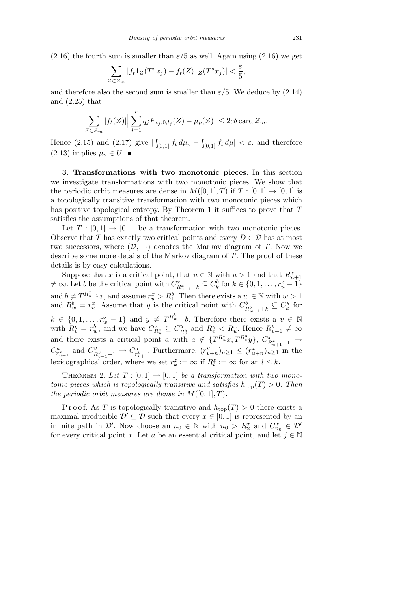$(2.16)$  the fourth sum is smaller than  $\varepsilon/5$  as well. Again using  $(2.16)$  we get

$$
\sum_{Z \in \mathcal{Z}_m} |f_t 1_Z(T^s x_j) - f_t(Z) 1_Z(T^s x_j)| < \frac{\varepsilon}{5},
$$

and therefore also the second sum is smaller than  $\varepsilon/5$ . We deduce by  $(2.14)$ and (2.25) that

$$
\sum_{Z \in \mathcal{Z}_m} |f_t(Z)| \Big| \sum_{j=1}^r q_j F_{x_j,0,l_j}(Z) - \mu_p(Z) \Big| \le 2c\delta \operatorname{card} \mathcal{Z}_m.
$$

Hence (2.15) and (2.17) give  $|\int_{[0,1]} f_t d\mu_p - \int_{[0,1]} f_t d\mu| < \varepsilon$ , and therefore  $(2.13)$  implies  $\mu_p$  ∈ *U*. ■

**3. Transformations with two monotonic pieces.** In this section we investigate transformations with two monotonic pieces. We show that the periodic orbit measures are dense in  $M([0,1],T)$  if  $T:[0,1] \rightarrow [0,1]$  is a topologically transitive transformation with two monotonic pieces which has positive topological entropy. By Theorem 1 it suffices to prove that *T* satisfies the assumptions of that theorem.

Let  $T : [0, 1] \rightarrow [0, 1]$  be a transformation with two monotonic pieces. Observe that *T* has exactly two critical points and every  $D \in \mathcal{D}$  has at most two successors, where  $(D, \rightarrow)$  denotes the Markov diagram of *T*. Now we describe some more details of the Markov diagram of *T*. The proof of these details is by easy calculations.

Suppose that x is a critical point, that  $u \in \mathbb{N}$  with  $u > 1$  and that  $R_{u+1}^x$ <br>  $\neq \infty$ . Let b be the critical point with  $C_{R_{u-1}^x+k}^x \subseteq C_k^b$  for  $k \in \{0,1,\ldots,r_u^x-1\}$ and  $b \neq T^{R_{u-1}^x}x$ , and assume  $r_u^x > R_1^b$ . Then there exists a  $w \in \mathbb{N}$  with  $w > 1$ and  $R_w^b = r_u^x$ . Assume that *y* is the critical point with  $C_{R_{w-1}^b+k}^b \subseteq C_k^y$  $\frac{y}{k}$  for  $k \in \{0, 1, \ldots, r_w^b - 1\}$  and  $y \neq T^{R_w^b - 1}b$ . Therefore there exists a  $v \in \mathbb{N}$ with  $R_v^y = r_w^b$ , and we have  $C_{R_v^x}^x \subseteq C_R^y$ and there exists a critical point a with  $a \notin \{T^{R_u^x}x, T^{R_v^y}y\}, C_{R_{u+1}^x-1}^x \to$  $R_v^y$  and  $R_v^y < R_u^x$ . Hence  $R_{v+1}^y \neq \infty$  $C_{r_{u+1}^x}^a$  and  $C_{R}^y$  $P_{n_{v+1}-1}^{y} \to C_{r_{v+1}}^{a}$ . Furthermore,  $(r_{v+n}^{y})_{n \geq 1} \leq (r_{u+n}^{x})_{n \geq 1}$  in the lexicographical order, where we set  $r_k^z := \infty$  if  $R_l^z := \infty$  for an  $l \leq k$ .

THEOREM 2. Let  $T : [0,1] \rightarrow [0,1]$  be a transformation with two mono*tonic pieces which is topologically transitive and satisfies*  $h_{\text{top}}(T) > 0$ . Then *the periodic orbit measures are dense in*  $M([0, 1], T)$ *.* 

Proof. As *T* is topologically transitive and  $h_{\text{top}}(T) > 0$  there exists a maximal irreducible  $\mathcal{D}' \subseteq \mathcal{D}$  such that every  $x \in [0, 1]$  is represented by an infinite path in  $\mathcal{D}'$ . Now choose an  $n_0 \in \mathbb{N}$  with  $n_0 > R_2^x$  and  $C_{n_0}^x \in \mathcal{D}'$ for every critical point *x*. Let *a* be an essential critical point, and let  $j \in \mathbb{N}$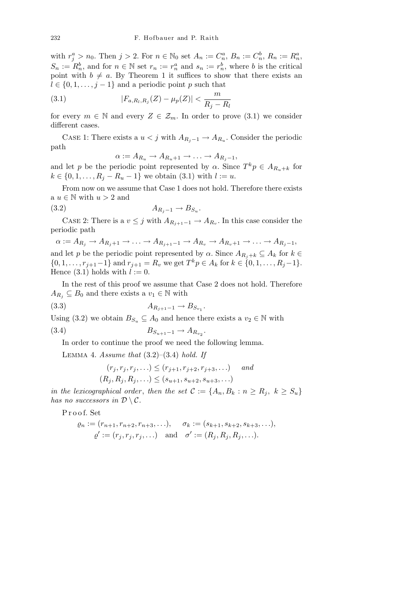with  $r_j^a > n_0$ . Then  $j > 2$ . For  $n \in \mathbb{N}_0$  set  $A_n := C_n^a$ ,  $B_n := C_n^b$ ,  $R_n := R_n^a$ ,  $S_n := R_n^b$ , and for  $n \in \mathbb{N}$  set  $r_n := r_n^a$  and  $s_n := r_n^b$ , where *b* is the critical point with  $b \neq a$ . By Theorem 1 it suffices to show that there exists an  $l \in \{0, 1, \ldots, j-1\}$  and a periodic point *p* such that

(3.1) 
$$
|F_{a,R_l,R_j}(Z) - \mu_p(Z)| < \frac{m}{R_j - R_l}
$$

for every  $m \in \mathbb{N}$  and every  $Z \in \mathcal{Z}_m$ . In order to prove (3.1) we consider different cases.

CASE 1: There exists a  $u < j$  with  $A_{R_j-1} \to A_{R_u}$ . Consider the periodic path

$$
\alpha := A_{R_u} \to A_{R_u+1} \to \ldots \to A_{R_j-1},
$$

and let *p* be the periodic point represented by *α*. Since  $T^k p \in A_{R_k+k}$  for  $k \in \{0, 1, \ldots, R_j - R_u - 1\}$  we obtain (3.1) with  $l := u$ .

From now on we assume that Case 1 does not hold. Therefore there exists a *u ∈* N with *u >* 2 and

$$
(3.2) \t\t\t A_{R_j-1} \to B_{S_u}.
$$

CASE 2: There is a  $v \leq j$  with  $A_{R_{j+1}-1} \to A_{R_v}$ . In this case consider the periodic path

 $\alpha := A_{R_i} \to A_{R_i+1} \to \ldots \to A_{R_{i+1}-1} \to A_{R_v} \to A_{R_v+1} \to \ldots \to A_{R_i-1},$ and let *p* be the periodic point represented by  $\alpha$ . Since  $A_{R_i+k} \subseteq A_k$  for  $k \in$  $\{0, 1, \ldots, r_{j+1}-1\}$  and  $r_{j+1} = R_v$  we get  $T^k p \in A_k$  for  $k \in \{0, 1, \ldots, R_j-1\}.$ Hence  $(3.1)$  holds with  $l := 0$ .

In the rest of this proof we assume that Case 2 does not hold. Therefore  $A_{R_i} \subseteq B_0$  and there exists a  $v_1 \in \mathbb{N}$  with

*.*

$$
(3.3) \t\t\t A_{R_{j+1}-1} \to B_{S_{v_1}}
$$

Using (3.2) we obtain  $B_{S_u} \subseteq A_0$  and hence there exists a  $v_2 \in \mathbb{N}$  with

$$
(3.4) \t\t B_{S_{u+1}-1} \to A_{R_{v_2}}.
$$

In order to continue the proof we need the following lemma.

Lemma 4. *Assume that* (3.2)–(3.4) *hold. If*

$$
(r_j, r_j, r_j, \ldots) \le (r_{j+1}, r_{j+2}, r_{j+3}, \ldots)
$$
 and  
 $(R_j, R_j, R_j, \ldots) \le (s_{u+1}, s_{u+2}, s_{u+3}, \ldots)$ 

*in the lexicographical order, then the set*  $C := \{A_n, B_k : n \geq R_j, k \geq S_u\}$ *has no successors in*  $\mathcal{D} \setminus \mathcal{C}$ *.* 

P r o o f. Set

$$
\varrho_n := (r_{n+1}, r_{n+2}, r_{n+3}, \ldots), \quad \sigma_k := (s_{k+1}, s_{k+2}, s_{k+3}, \ldots),
$$
  

$$
\varrho' := (r_j, r_j, r_j, \ldots) \quad \text{and} \quad \sigma' := (R_j, R_j, R_j, \ldots).
$$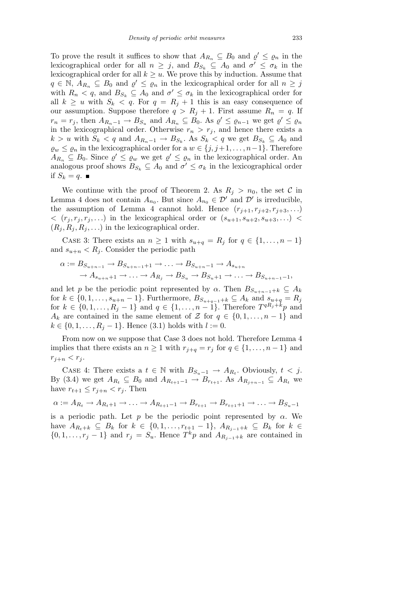To prove the result it suffices to show that  $A_{R_n} \subseteq B_0$  and  $\varrho' \leq \varrho_n$  in the lexicographical order for all  $n \geq j$ , and  $B_{S_k} \subseteq A_0$  and  $\sigma' \leq \sigma_k$  in the lexicographical order for all  $k \geq u$ . We prove this by induction. Assume that  $q \in \mathbb{N}, A_{R_n} \subseteq B_0$  and  $q' \leq q_n$  in the lexicographical order for all  $n \geq j$ with  $R_n < q$ , and  $B_{S_k} \subseteq A_0$  and  $\sigma' \leq \sigma_k$  in the lexicographical order for all  $k \geq u$  with  $S_k < q$ . For  $q = R_j + 1$  this is an easy consequence of our assumption. Suppose therefore  $q > R_j + 1$ . First assume  $R_n = q$ . If  $r_n = r_j$ , then  $A_{R_n-1} \to B_{S_u}$  and  $A_{R_n} \subseteq B_0$ . As  $\varrho' \leq \varrho_{n-1}$  we get  $\varrho' \leq \varrho_n$ in the lexicographical order. Otherwise  $r_n > r_j$ , and hence there exists a  $k > u$  with  $S_k < q$  and  $A_{R_n-1} \to B_{S_k}$ . As  $S_k < q$  we get  $B_{S_k} \subseteq A_0$  and *gw* ≤ *g<sub>n</sub>* in the lexicographical order for a *w* ∈ {*j*, *j*+1, . . . , *n*−1}. Therefore  $A_{R_n} \subseteq B_0$ . Since  $\varrho' \leq \varrho_w$  we get  $\varrho' \leq \varrho_n$  in the lexicographical order. An analogous proof shows  $B_{S_k} \subseteq A_0$  and  $\sigma' \leq \sigma_k$  in the lexicographical order if  $S_k = q$ .

We continue with the proof of Theorem 2. As  $R_j > n_0$ , the set C in Lemma 4 does not contain  $A_{n_0}$ . But since  $A_{n_0} \in \mathcal{D}'$  and  $\mathcal{D}'$  is irreducible, the assumption of Lemma 4 cannot hold. Hence  $(r_{j+1}, r_{j+2}, r_{j+3}, \ldots)$  $\langle (r_i, r_j, r_j, \ldots) \rangle$  in the lexicographical order or  $(s_{u+1}, s_{u+2}, s_{u+3}, \ldots)$  $(R_i, R_i, R_j, \ldots)$  in the lexicographical order.

CASE 3: There exists an  $n \geq 1$  with  $s_{u+q} = R_j$  for  $q \in \{1, \ldots, n-1\}$ and  $s_{u+n} < R_i$ . Consider the periodic path

$$
\alpha := B_{S_{u+n-1}} \to B_{S_{u+n-1}+1} \to \dots \to B_{S_{u+n}-1} \to A_{s_{u+n}}
$$

$$
\to A_{s_{u+n}+1} \to \dots \to A_{R_j} \to B_{S_u} \to B_{S_u+1} \to \dots \to B_{S_{u+n-1}-1},
$$

and let *p* be the periodic point represented by  $\alpha$ . Then  $B_{S_{u+n-1}+k} \subseteq A_k$ for  $k \in \{0, 1, \ldots, s_{u+n} - 1\}$ . Furthermore,  $B_{S_{u+q-1}+k} \subseteq A_k$  and  $s_{u+q} = R_j$ for  $k \in \{0, 1, \ldots, R_j - 1\}$  and  $q \in \{1, \ldots, n - 1\}$ . Therefore  $T^{qR_j + k}p$  and *A*<sub>*k*</sub> are contained in the same element of *Z* for  $q \in \{0, 1, \ldots, n-1\}$  and *k* ∈ {0, 1, . . . ,  $R_j$  − 1}. Hence (3.1) holds with  $l := 0$ .

From now on we suppose that Case 3 does not hold. Therefore Lemma 4 implies that there exists an  $n \geq 1$  with  $r_{j+q} = r_j$  for  $q \in \{1, \ldots, n-1\}$  and  $r_{j+n} < r_j$ .

CASE 4: There exists a  $t \in \mathbb{N}$  with  $B_{S_u-1} \to A_{R_t}$ . Obviously,  $t < j$ . By (3.4) we get  $A_{R_t} ⊆ B_0$  and  $A_{R_{t+1}-1} → B_{r_{t+1}}$ . As  $A_{R_{i+n-1}} ⊆ A_{R_t}$  we have  $r_{t+1} \leq r_{j+n} < r_j$ . Then

$$
\alpha := A_{R_t} \to A_{R_t+1} \to \dots \to A_{R_{t+1}-1} \to B_{r_{t+1}} \to B_{r_{t+1}+1} \to \dots \to B_{S_u-1}
$$

is a periodic path. Let  $p$  be the periodic point represented by  $\alpha$ . We have  $A_{R_t+k} \subseteq B_k$  for  $k \in \{0,1,\ldots,r_{t+1}-1\}$ ,  $A_{R_{i-1}+k} \subseteq B_k$  for  $k \in$ *{*0*,* 1*, . . . , r<sub>j</sub>* − 1*}* and *r<sub>j</sub>* = *S<sub><i>u*</sub>. Hence  $T^k p$  and  $A_{R_{j-1}+k}$  are contained in